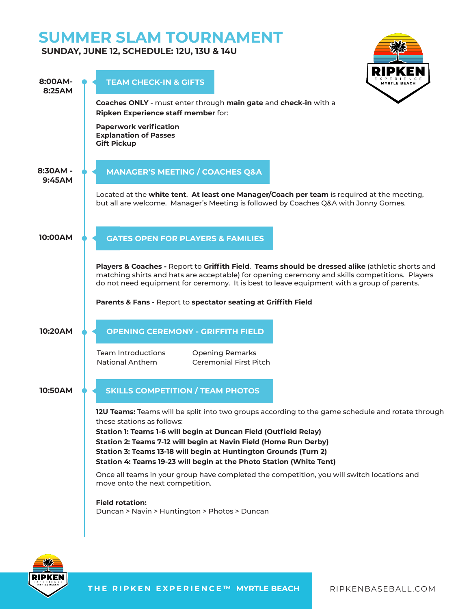# **SUMMER SLAM TOURNAMENT**

## **SUNDAY, JUNE 12, SCHEDULE: 12U, 13U & 14U**





**THE RIPKEN EXPERIENCE™ MYRTLE BEACH RIPKENBASEBALL.COM**